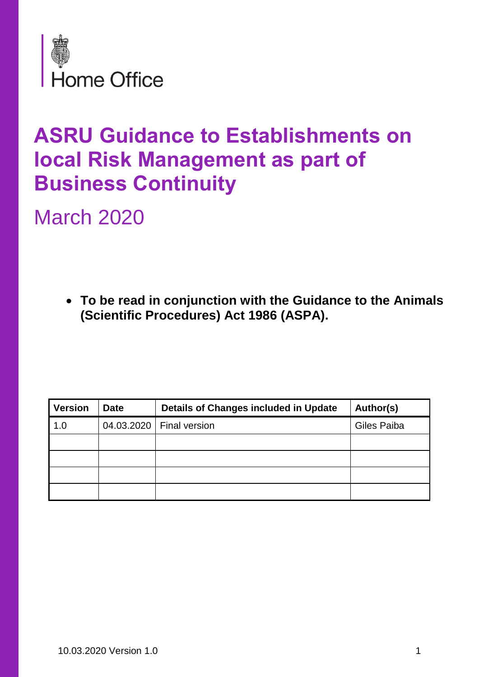

## **ASRU Guidance to Establishments on local Risk Management as part of Business Continuity**

March 2020

• **To be read in conjunction with the Guidance to the Animals (Scientific Procedures) Act 1986 (ASPA).** 

| <b>Version</b> | <b>Date</b> | <b>Details of Changes included in Update</b> | Author(s)   |
|----------------|-------------|----------------------------------------------|-------------|
| 1.0            |             | 04.03.2020   Final version                   | Giles Paiba |
|                |             |                                              |             |
|                |             |                                              |             |
|                |             |                                              |             |
|                |             |                                              |             |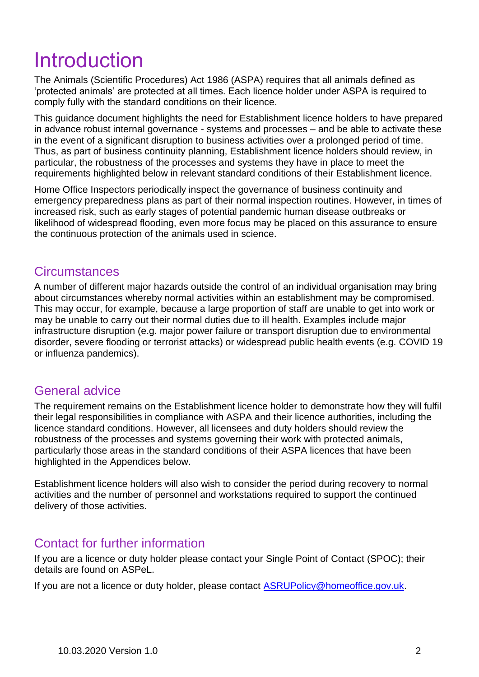## Introduction

The Animals (Scientific Procedures) Act 1986 (ASPA) requires that all animals defined as 'protected animals' are protected at all times. Each licence holder under ASPA is required to comply fully with the standard conditions on their licence.

This guidance document highlights the need for Establishment licence holders to have prepared in advance robust internal governance - systems and processes – and be able to activate these in the event of a significant disruption to business activities over a prolonged period of time. Thus, as part of business continuity planning, Establishment licence holders should review, in particular, the robustness of the processes and systems they have in place to meet the requirements highlighted below in relevant standard conditions of their Establishment licence.

Home Office Inspectors periodically inspect the governance of business continuity and emergency preparedness plans as part of their normal inspection routines. However, in times of increased risk, such as early stages of potential pandemic human disease outbreaks or likelihood of widespread flooding, even more focus may be placed on this assurance to ensure the continuous protection of the animals used in science.

#### **Circumstances**

A number of different major hazards outside the control of an individual organisation may bring about circumstances whereby normal activities within an establishment may be compromised. This may occur, for example, because a large proportion of staff are unable to get into work or may be unable to carry out their normal duties due to ill health. Examples include major infrastructure disruption (e.g. major power failure or transport disruption due to environmental disorder, severe flooding or terrorist attacks) or widespread public health events (e.g. COVID 19 or influenza pandemics).

#### General advice

The requirement remains on the Establishment licence holder to demonstrate how they will fulfil their legal responsibilities in compliance with ASPA and their licence authorities, including the licence standard conditions. However, all licensees and duty holders should review the robustness of the processes and systems governing their work with protected animals, particularly those areas in the standard conditions of their ASPA licences that have been highlighted in the Appendices below.

Establishment licence holders will also wish to consider the period during recovery to normal activities and the number of personnel and workstations required to support the continued delivery of those activities.

#### Contact for further information

If you are a licence or duty holder please contact your Single Point of Contact (SPOC); their details are found on ASPeL.

If you are not a licence or duty holder, please contact [ASRUPolicy@homeoffice.gov.uk.](mailto:ASRUPolicy@homeoffice.gov.uk)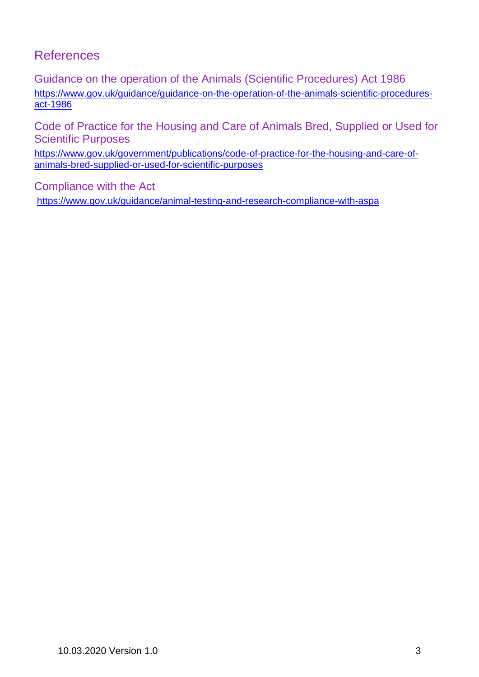### References

Guidance on the operation of the Animals (Scientific Procedures) Act 1986 [https://www.gov.uk/guidance/guidance-on-the-operation-of-the-animals-scientific-procedures](https://www.gov.uk/guidance/guidance-on-the-operation-of-the-animals-scientific-procedures-act-1986)[act-1986](https://www.gov.uk/guidance/guidance-on-the-operation-of-the-animals-scientific-procedures-act-1986)

Code of Practice for the Housing and Care of Animals Bred, Supplied or Used for Scientific Purposes

[https://www.gov.uk/government/publications/code-of-practice-for-the-housing-and-care-of](https://www.gov.uk/government/publications/code-of-practice-for-the-housing-and-care-of-animals-bred-supplied-or-used-for-scientific-purposes)[animals-bred-supplied-or-used-for-scientific-purposes](https://www.gov.uk/government/publications/code-of-practice-for-the-housing-and-care-of-animals-bred-supplied-or-used-for-scientific-purposes)

Compliance with the Act

<https://www.gov.uk/guidance/animal-testing-and-research-compliance-with-aspa>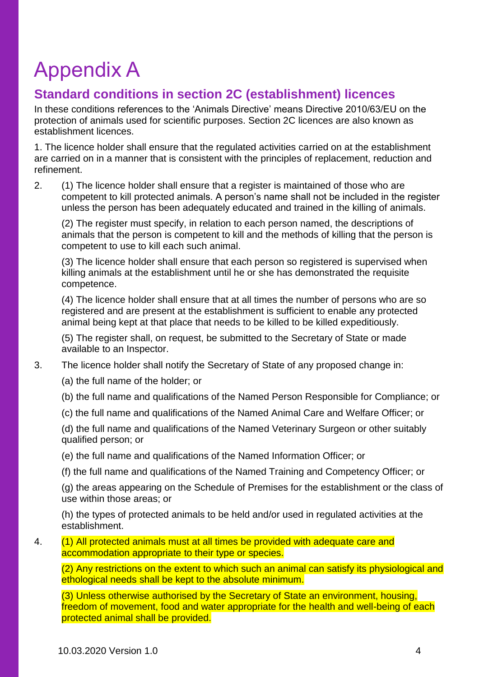# Appendix A

### **Standard conditions in section 2C (establishment) licences**

In these conditions references to the 'Animals Directive' means Directive 2010/63/EU on the protection of animals used for scientific purposes. Section 2C licences are also known as establishment licences.

1. The licence holder shall ensure that the regulated activities carried on at the establishment are carried on in a manner that is consistent with the principles of replacement, reduction and refinement.

2. (1) The licence holder shall ensure that a register is maintained of those who are competent to kill protected animals. A person's name shall not be included in the register unless the person has been adequately educated and trained in the killing of animals.

(2) The register must specify, in relation to each person named, the descriptions of animals that the person is competent to kill and the methods of killing that the person is competent to use to kill each such animal.

(3) The licence holder shall ensure that each person so registered is supervised when killing animals at the establishment until he or she has demonstrated the requisite competence.

(4) The licence holder shall ensure that at all times the number of persons who are so registered and are present at the establishment is sufficient to enable any protected animal being kept at that place that needs to be killed to be killed expeditiously.

(5) The register shall, on request, be submitted to the Secretary of State or made available to an Inspector.

- 3. The licence holder shall notify the Secretary of State of any proposed change in:
	- (a) the full name of the holder; or
	- (b) the full name and qualifications of the Named Person Responsible for Compliance; or
	- (c) the full name and qualifications of the Named Animal Care and Welfare Officer; or

(d) the full name and qualifications of the Named Veterinary Surgeon or other suitably qualified person; or

- (e) the full name and qualifications of the Named Information Officer; or
- (f) the full name and qualifications of the Named Training and Competency Officer; or

(g) the areas appearing on the Schedule of Premises for the establishment or the class of use within those areas; or

(h) the types of protected animals to be held and/or used in regulated activities at the establishment.

4. (1) All protected animals must at all times be provided with adequate care and accommodation appropriate to their type or species.

(2) Any restrictions on the extent to which such an animal can satisfy its physiological and ethological needs shall be kept to the absolute minimum.

(3) Unless otherwise authorised by the Secretary of State an environment, housing, freedom of movement, food and water appropriate for the health and well-being of each protected animal shall be provided.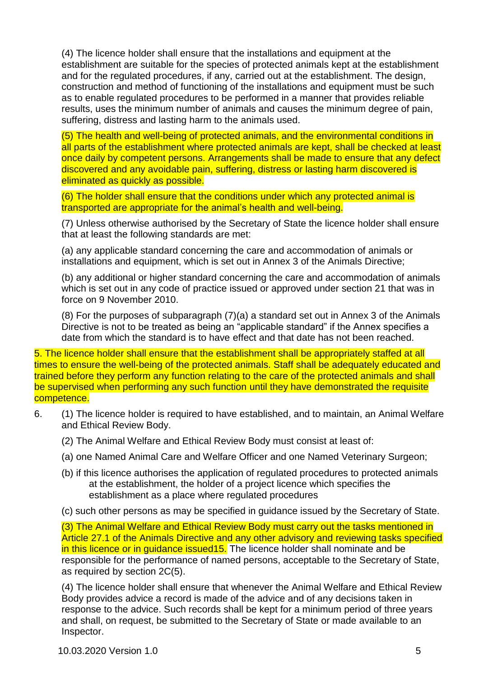(4) The licence holder shall ensure that the installations and equipment at the establishment are suitable for the species of protected animals kept at the establishment and for the regulated procedures, if any, carried out at the establishment. The design, construction and method of functioning of the installations and equipment must be such as to enable regulated procedures to be performed in a manner that provides reliable results, uses the minimum number of animals and causes the minimum degree of pain, suffering, distress and lasting harm to the animals used.

(5) The health and well-being of protected animals, and the environmental conditions in all parts of the establishment where protected animals are kept, shall be checked at least once daily by competent persons. Arrangements shall be made to ensure that any defect discovered and any avoidable pain, suffering, distress or lasting harm discovered is eliminated as quickly as possible.

(6) The holder shall ensure that the conditions under which any protected animal is transported are appropriate for the animal's health and well-being.

(7) Unless otherwise authorised by the Secretary of State the licence holder shall ensure that at least the following standards are met:

(a) any applicable standard concerning the care and accommodation of animals or installations and equipment, which is set out in Annex 3 of the Animals Directive;

(b) any additional or higher standard concerning the care and accommodation of animals which is set out in any code of practice issued or approved under section 21 that was in force on 9 November 2010.

(8) For the purposes of subparagraph (7)(a) a standard set out in Annex 3 of the Animals Directive is not to be treated as being an "applicable standard" if the Annex specifies a date from which the standard is to have effect and that date has not been reached.

5. The licence holder shall ensure that the establishment shall be appropriately staffed at all times to ensure the well-being of the protected animals. Staff shall be adequately educated and trained before they perform any function relating to the care of the protected animals and shall be supervised when performing any such function until they have demonstrated the requisite competence.

- 6. (1) The licence holder is required to have established, and to maintain, an Animal Welfare and Ethical Review Body.
	- (2) The Animal Welfare and Ethical Review Body must consist at least of:
	- (a) one Named Animal Care and Welfare Officer and one Named Veterinary Surgeon;
	- (b) if this licence authorises the application of regulated procedures to protected animals at the establishment, the holder of a project licence which specifies the establishment as a place where regulated procedures
	- (c) such other persons as may be specified in guidance issued by the Secretary of State.

(3) The Animal Welfare and Ethical Review Body must carry out the tasks mentioned in Article 27.1 of the Animals Directive and any other advisory and reviewing tasks specified in this licence or in quidance issued15. The licence holder shall nominate and be responsible for the performance of named persons, acceptable to the Secretary of State, as required by section 2C(5).

(4) The licence holder shall ensure that whenever the Animal Welfare and Ethical Review Body provides advice a record is made of the advice and of any decisions taken in response to the advice. Such records shall be kept for a minimum period of three years and shall, on request, be submitted to the Secretary of State or made available to an Inspector.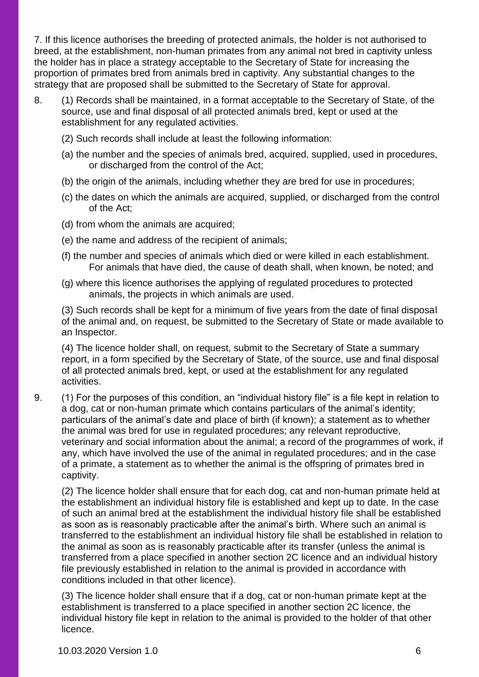7. If this licence authorises the breeding of protected animals, the holder is not authorised to breed, at the establishment, non-human primates from any animal not bred in captivity unless the holder has in place a strategy acceptable to the Secretary of State for increasing the proportion of primates bred from animals bred in captivity. Any substantial changes to the strategy that are proposed shall be submitted to the Secretary of State for approval.

- 8. (1) Records shall be maintained, in a format acceptable to the Secretary of State, of the source, use and final disposal of all protected animals bred, kept or used at the establishment for any regulated activities.
	- (2) Such records shall include at least the following information:
	- (a) the number and the species of animals bred, acquired, supplied, used in procedures, or discharged from the control of the Act;
	- (b) the origin of the animals, including whether they are bred for use in procedures;
	- (c) the dates on which the animals are acquired, supplied, or discharged from the control of the Act;
	- (d) from whom the animals are acquired;
	- (e) the name and address of the recipient of animals;
	- (f) the number and species of animals which died or were killed in each establishment. For animals that have died, the cause of death shall, when known, be noted; and
	- (g) where this licence authorises the applying of regulated procedures to protected animals, the projects in which animals are used.

(3) Such records shall be kept for a minimum of five years from the date of final disposal of the animal and, on request, be submitted to the Secretary of State or made available to an Inspector.

(4) The licence holder shall, on request, submit to the Secretary of State a summary report, in a form specified by the Secretary of State, of the source, use and final disposal of all protected animals bred, kept, or used at the establishment for any regulated activities.

9. (1) For the purposes of this condition, an "individual history file" is a file kept in relation to a dog, cat or non-human primate which contains particulars of the animal's identity; particulars of the animal's date and place of birth (if known); a statement as to whether the animal was bred for use in regulated procedures; any relevant reproductive, veterinary and social information about the animal; a record of the programmes of work, if any, which have involved the use of the animal in regulated procedures; and in the case of a primate, a statement as to whether the animal is the offspring of primates bred in captivity.

(2) The licence holder shall ensure that for each dog, cat and non-human primate held at the establishment an individual history file is established and kept up to date. In the case of such an animal bred at the establishment the individual history file shall be established as soon as is reasonably practicable after the animal's birth. Where such an animal is transferred to the establishment an individual history file shall be established in relation to the animal as soon as is reasonably practicable after its transfer (unless the animal is transferred from a place specified in another section 2C licence and an individual history file previously established in relation to the animal is provided in accordance with conditions included in that other licence).

(3) The licence holder shall ensure that if a dog, cat or non-human primate kept at the establishment is transferred to a place specified in another section 2C licence, the individual history file kept in relation to the animal is provided to the holder of that other licence.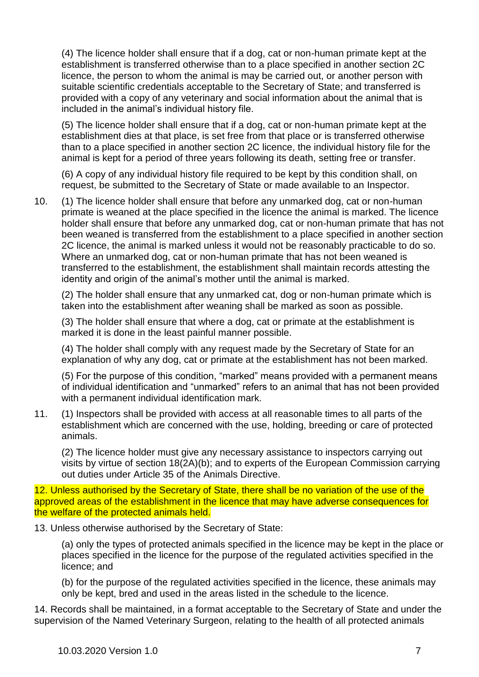(4) The licence holder shall ensure that if a dog, cat or non-human primate kept at the establishment is transferred otherwise than to a place specified in another section 2C licence, the person to whom the animal is may be carried out, or another person with suitable scientific credentials acceptable to the Secretary of State; and transferred is provided with a copy of any veterinary and social information about the animal that is included in the animal's individual history file.

(5) The licence holder shall ensure that if a dog, cat or non-human primate kept at the establishment dies at that place, is set free from that place or is transferred otherwise than to a place specified in another section 2C licence, the individual history file for the animal is kept for a period of three years following its death, setting free or transfer.

(6) A copy of any individual history file required to be kept by this condition shall, on request, be submitted to the Secretary of State or made available to an Inspector.

10. (1) The licence holder shall ensure that before any unmarked dog, cat or non-human primate is weaned at the place specified in the licence the animal is marked. The licence holder shall ensure that before any unmarked dog, cat or non-human primate that has not been weaned is transferred from the establishment to a place specified in another section 2C licence, the animal is marked unless it would not be reasonably practicable to do so. Where an unmarked dog, cat or non-human primate that has not been weaned is transferred to the establishment, the establishment shall maintain records attesting the identity and origin of the animal's mother until the animal is marked.

(2) The holder shall ensure that any unmarked cat, dog or non-human primate which is taken into the establishment after weaning shall be marked as soon as possible.

(3) The holder shall ensure that where a dog, cat or primate at the establishment is marked it is done in the least painful manner possible.

(4) The holder shall comply with any request made by the Secretary of State for an explanation of why any dog, cat or primate at the establishment has not been marked.

(5) For the purpose of this condition, "marked" means provided with a permanent means of individual identification and "unmarked" refers to an animal that has not been provided with a permanent individual identification mark.

11. (1) Inspectors shall be provided with access at all reasonable times to all parts of the establishment which are concerned with the use, holding, breeding or care of protected animals.

(2) The licence holder must give any necessary assistance to inspectors carrying out visits by virtue of section 18(2A)(b); and to experts of the European Commission carrying out duties under Article 35 of the Animals Directive.

12. Unless authorised by the Secretary of State, there shall be no variation of the use of the approved areas of the establishment in the licence that may have adverse consequences for the welfare of the protected animals held.

13. Unless otherwise authorised by the Secretary of State:

(a) only the types of protected animals specified in the licence may be kept in the place or places specified in the licence for the purpose of the regulated activities specified in the licence; and

(b) for the purpose of the regulated activities specified in the licence, these animals may only be kept, bred and used in the areas listed in the schedule to the licence.

14. Records shall be maintained, in a format acceptable to the Secretary of State and under the supervision of the Named Veterinary Surgeon, relating to the health of all protected animals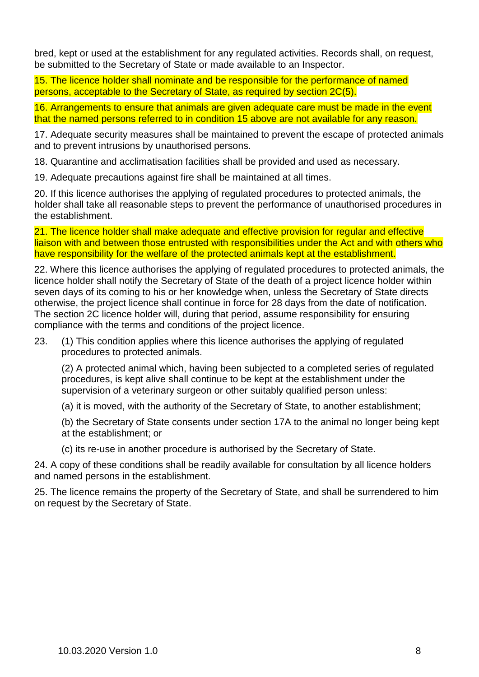bred, kept or used at the establishment for any regulated activities. Records shall, on request, be submitted to the Secretary of State or made available to an Inspector.

15. The licence holder shall nominate and be responsible for the performance of named persons, acceptable to the Secretary of State, as required by section 2C(5).

16. Arrangements to ensure that animals are given adequate care must be made in the event that the named persons referred to in condition 15 above are not available for any reason.

17. Adequate security measures shall be maintained to prevent the escape of protected animals and to prevent intrusions by unauthorised persons.

18. Quarantine and acclimatisation facilities shall be provided and used as necessary.

19. Adequate precautions against fire shall be maintained at all times.

20. If this licence authorises the applying of regulated procedures to protected animals, the holder shall take all reasonable steps to prevent the performance of unauthorised procedures in the establishment.

21. The licence holder shall make adequate and effective provision for regular and effective liaison with and between those entrusted with responsibilities under the Act and with others who have responsibility for the welfare of the protected animals kept at the establishment.

22. Where this licence authorises the applying of regulated procedures to protected animals, the licence holder shall notify the Secretary of State of the death of a project licence holder within seven days of its coming to his or her knowledge when, unless the Secretary of State directs otherwise, the project licence shall continue in force for 28 days from the date of notification. The section 2C licence holder will, during that period, assume responsibility for ensuring compliance with the terms and conditions of the project licence.

23. (1) This condition applies where this licence authorises the applying of regulated procedures to protected animals.

(2) A protected animal which, having been subjected to a completed series of regulated procedures, is kept alive shall continue to be kept at the establishment under the supervision of a veterinary surgeon or other suitably qualified person unless:

(a) it is moved, with the authority of the Secretary of State, to another establishment;

(b) the Secretary of State consents under section 17A to the animal no longer being kept at the establishment; or

(c) its re-use in another procedure is authorised by the Secretary of State.

24. A copy of these conditions shall be readily available for consultation by all licence holders and named persons in the establishment.

25. The licence remains the property of the Secretary of State, and shall be surrendered to him on request by the Secretary of State.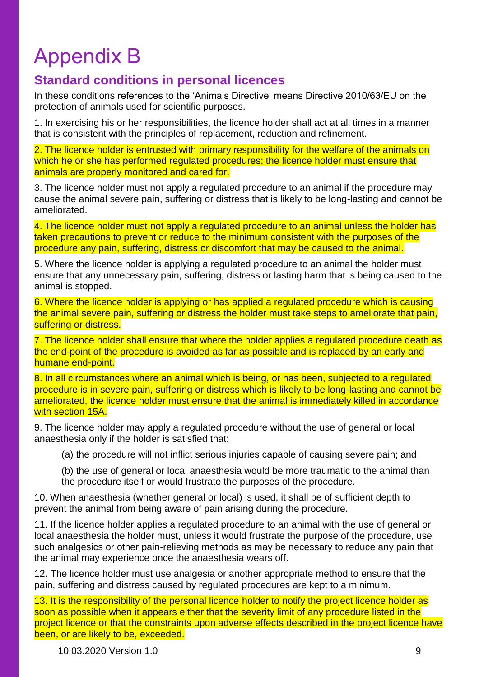# Appendix B

### **Standard conditions in personal licences**

In these conditions references to the 'Animals Directive' means Directive 2010/63/EU on the protection of animals used for scientific purposes.

1. In exercising his or her responsibilities, the licence holder shall act at all times in a manner that is consistent with the principles of replacement, reduction and refinement.

2. The licence holder is entrusted with primary responsibility for the welfare of the animals on which he or she has performed regulated procedures; the licence holder must ensure that animals are properly monitored and cared for.

3. The licence holder must not apply a regulated procedure to an animal if the procedure may cause the animal severe pain, suffering or distress that is likely to be long-lasting and cannot be ameliorated.

4. The licence holder must not apply a regulated procedure to an animal unless the holder has taken precautions to prevent or reduce to the minimum consistent with the purposes of the procedure any pain, suffering, distress or discomfort that may be caused to the animal.

5. Where the licence holder is applying a regulated procedure to an animal the holder must ensure that any unnecessary pain, suffering, distress or lasting harm that is being caused to the animal is stopped.

6. Where the licence holder is applying or has applied a regulated procedure which is causing the animal severe pain, suffering or distress the holder must take steps to ameliorate that pain, suffering or distress.

7. The licence holder shall ensure that where the holder applies a regulated procedure death as the end-point of the procedure is avoided as far as possible and is replaced by an early and humane end-point.

8. In all circumstances where an animal which is being, or has been, subjected to a regulated procedure is in severe pain, suffering or distress which is likely to be long-lasting and cannot be ameliorated, the licence holder must ensure that the animal is immediately killed in accordance with section 15A.

9. The licence holder may apply a regulated procedure without the use of general or local anaesthesia only if the holder is satisfied that:

(a) the procedure will not inflict serious injuries capable of causing severe pain; and

(b) the use of general or local anaesthesia would be more traumatic to the animal than the procedure itself or would frustrate the purposes of the procedure.

10. When anaesthesia (whether general or local) is used, it shall be of sufficient depth to prevent the animal from being aware of pain arising during the procedure.

11. If the licence holder applies a regulated procedure to an animal with the use of general or local anaesthesia the holder must, unless it would frustrate the purpose of the procedure, use such analgesics or other pain-relieving methods as may be necessary to reduce any pain that the animal may experience once the anaesthesia wears off.

12. The licence holder must use analgesia or another appropriate method to ensure that the pain, suffering and distress caused by regulated procedures are kept to a minimum.

13. It is the responsibility of the personal licence holder to notify the project licence holder as soon as possible when it appears either that the severity limit of any procedure listed in the project licence or that the constraints upon adverse effects described in the project licence have been, or are likely to be, exceeded.

10.03.2020 Version 1.0 9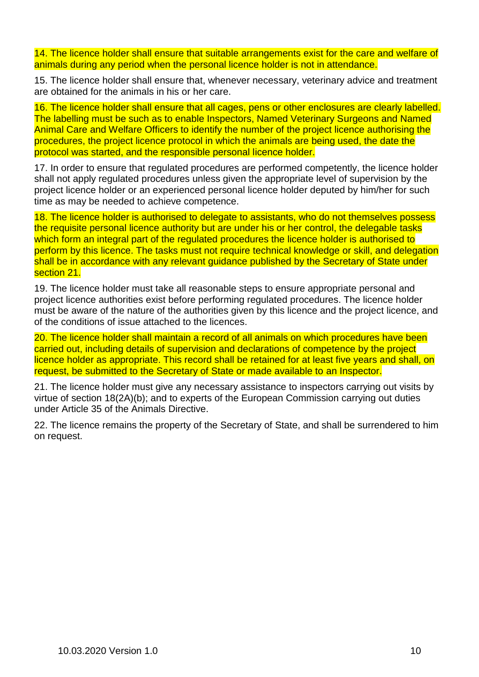14. The licence holder shall ensure that suitable arrangements exist for the care and welfare of animals during any period when the personal licence holder is not in attendance.

15. The licence holder shall ensure that, whenever necessary, veterinary advice and treatment are obtained for the animals in his or her care.

16. The licence holder shall ensure that all cages, pens or other enclosures are clearly labelled. The labelling must be such as to enable Inspectors, Named Veterinary Surgeons and Named Animal Care and Welfare Officers to identify the number of the project licence authorising the procedures, the project licence protocol in which the animals are being used, the date the protocol was started, and the responsible personal licence holder.

17. In order to ensure that regulated procedures are performed competently, the licence holder shall not apply regulated procedures unless given the appropriate level of supervision by the project licence holder or an experienced personal licence holder deputed by him/her for such time as may be needed to achieve competence.

18. The licence holder is authorised to delegate to assistants, who do not themselves possess the requisite personal licence authority but are under his or her control, the delegable tasks which form an integral part of the regulated procedures the licence holder is authorised to perform by this licence. The tasks must not require technical knowledge or skill, and delegation shall be in accordance with any relevant quidance published by the Secretary of State under section 21.

19. The licence holder must take all reasonable steps to ensure appropriate personal and project licence authorities exist before performing regulated procedures. The licence holder must be aware of the nature of the authorities given by this licence and the project licence, and of the conditions of issue attached to the licences.

20. The licence holder shall maintain a record of all animals on which procedures have been carried out, including details of supervision and declarations of competence by the project licence holder as appropriate. This record shall be retained for at least five years and shall, on request, be submitted to the Secretary of State or made available to an Inspector.

21. The licence holder must give any necessary assistance to inspectors carrying out visits by virtue of section 18(2A)(b); and to experts of the European Commission carrying out duties under Article 35 of the Animals Directive.

22. The licence remains the property of the Secretary of State, and shall be surrendered to him on request.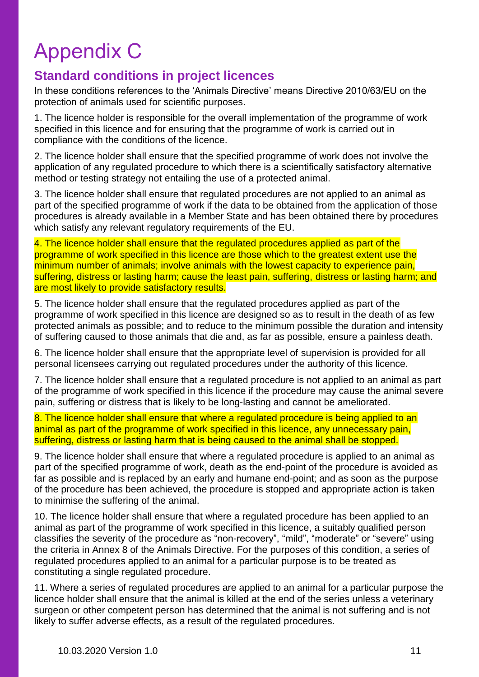# Appendix C

### **Standard conditions in project licences**

In these conditions references to the 'Animals Directive' means Directive 2010/63/EU on the protection of animals used for scientific purposes.

1. The licence holder is responsible for the overall implementation of the programme of work specified in this licence and for ensuring that the programme of work is carried out in compliance with the conditions of the licence.

2. The licence holder shall ensure that the specified programme of work does not involve the application of any regulated procedure to which there is a scientifically satisfactory alternative method or testing strategy not entailing the use of a protected animal.

3. The licence holder shall ensure that regulated procedures are not applied to an animal as part of the specified programme of work if the data to be obtained from the application of those procedures is already available in a Member State and has been obtained there by procedures which satisfy any relevant regulatory requirements of the EU.

4. The licence holder shall ensure that the regulated procedures applied as part of the programme of work specified in this licence are those which to the greatest extent use the minimum number of animals; involve animals with the lowest capacity to experience pain, suffering, distress or lasting harm; cause the least pain, suffering, distress or lasting harm; and are most likely to provide satisfactory results.

5. The licence holder shall ensure that the regulated procedures applied as part of the programme of work specified in this licence are designed so as to result in the death of as few protected animals as possible; and to reduce to the minimum possible the duration and intensity of suffering caused to those animals that die and, as far as possible, ensure a painless death.

6. The licence holder shall ensure that the appropriate level of supervision is provided for all personal licensees carrying out regulated procedures under the authority of this licence.

7. The licence holder shall ensure that a regulated procedure is not applied to an animal as part of the programme of work specified in this licence if the procedure may cause the animal severe pain, suffering or distress that is likely to be long-lasting and cannot be ameliorated.

8. The licence holder shall ensure that where a regulated procedure is being applied to an animal as part of the programme of work specified in this licence, any unnecessary pain, suffering, distress or lasting harm that is being caused to the animal shall be stopped.

9. The licence holder shall ensure that where a regulated procedure is applied to an animal as part of the specified programme of work, death as the end-point of the procedure is avoided as far as possible and is replaced by an early and humane end-point; and as soon as the purpose of the procedure has been achieved, the procedure is stopped and appropriate action is taken to minimise the suffering of the animal.

10. The licence holder shall ensure that where a regulated procedure has been applied to an animal as part of the programme of work specified in this licence, a suitably qualified person classifies the severity of the procedure as "non-recovery", "mild", "moderate" or "severe" using the criteria in Annex 8 of the Animals Directive. For the purposes of this condition, a series of regulated procedures applied to an animal for a particular purpose is to be treated as constituting a single regulated procedure.

11. Where a series of regulated procedures are applied to an animal for a particular purpose the licence holder shall ensure that the animal is killed at the end of the series unless a veterinary surgeon or other competent person has determined that the animal is not suffering and is not likely to suffer adverse effects, as a result of the regulated procedures.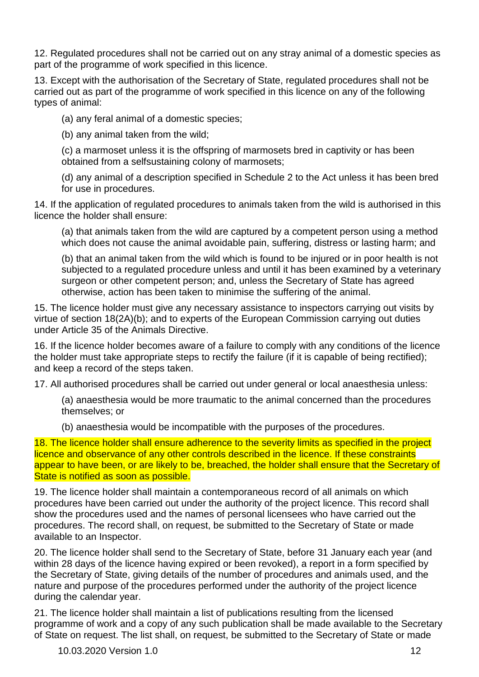12. Regulated procedures shall not be carried out on any stray animal of a domestic species as part of the programme of work specified in this licence.

13. Except with the authorisation of the Secretary of State, regulated procedures shall not be carried out as part of the programme of work specified in this licence on any of the following types of animal:

(a) any feral animal of a domestic species;

(b) any animal taken from the wild;

(c) a marmoset unless it is the offspring of marmosets bred in captivity or has been obtained from a selfsustaining colony of marmosets;

(d) any animal of a description specified in Schedule 2 to the Act unless it has been bred for use in procedures.

14. If the application of regulated procedures to animals taken from the wild is authorised in this licence the holder shall ensure:

(a) that animals taken from the wild are captured by a competent person using a method which does not cause the animal avoidable pain, suffering, distress or lasting harm; and

(b) that an animal taken from the wild which is found to be injured or in poor health is not subjected to a regulated procedure unless and until it has been examined by a veterinary surgeon or other competent person; and, unless the Secretary of State has agreed otherwise, action has been taken to minimise the suffering of the animal.

15. The licence holder must give any necessary assistance to inspectors carrying out visits by virtue of section 18(2A)(b); and to experts of the European Commission carrying out duties under Article 35 of the Animals Directive.

16. If the licence holder becomes aware of a failure to comply with any conditions of the licence the holder must take appropriate steps to rectify the failure (if it is capable of being rectified); and keep a record of the steps taken.

17. All authorised procedures shall be carried out under general or local anaesthesia unless:

(a) anaesthesia would be more traumatic to the animal concerned than the procedures themselves; or

(b) anaesthesia would be incompatible with the purposes of the procedures.

18. The licence holder shall ensure adherence to the severity limits as specified in the project licence and observance of any other controls described in the licence. If these constraints appear to have been, or are likely to be, breached, the holder shall ensure that the Secretary of State is notified as soon as possible.

19. The licence holder shall maintain a contemporaneous record of all animals on which procedures have been carried out under the authority of the project licence. This record shall show the procedures used and the names of personal licensees who have carried out the procedures. The record shall, on request, be submitted to the Secretary of State or made available to an Inspector.

20. The licence holder shall send to the Secretary of State, before 31 January each year (and within 28 days of the licence having expired or been revoked), a report in a form specified by the Secretary of State, giving details of the number of procedures and animals used, and the nature and purpose of the procedures performed under the authority of the project licence during the calendar year.

21. The licence holder shall maintain a list of publications resulting from the licensed programme of work and a copy of any such publication shall be made available to the Secretary of State on request. The list shall, on request, be submitted to the Secretary of State or made